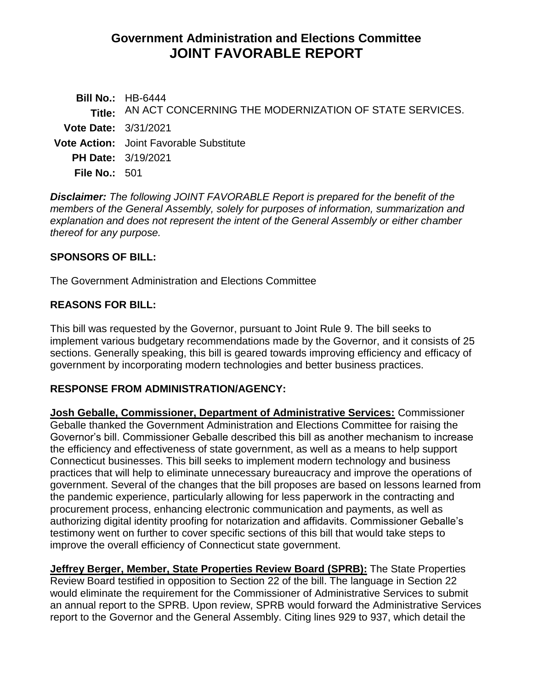# **Government Administration and Elections Committee JOINT FAVORABLE REPORT**

|                             | <b>Bill No.: HB-6444</b>                                      |
|-----------------------------|---------------------------------------------------------------|
|                             | Title: AN ACT CONCERNING THE MODERNIZATION OF STATE SERVICES. |
| <b>Vote Date: 3/31/2021</b> |                                                               |
|                             | <b>Vote Action:</b> Joint Favorable Substitute                |
|                             | <b>PH Date: 3/19/2021</b>                                     |
| <b>File No.: 501</b>        |                                                               |

*Disclaimer: The following JOINT FAVORABLE Report is prepared for the benefit of the members of the General Assembly, solely for purposes of information, summarization and explanation and does not represent the intent of the General Assembly or either chamber thereof for any purpose.*

### **SPONSORS OF BILL:**

The Government Administration and Elections Committee

### **REASONS FOR BILL:**

This bill was requested by the Governor, pursuant to Joint Rule 9. The bill seeks to implement various budgetary recommendations made by the Governor, and it consists of 25 sections. Generally speaking, this bill is geared towards improving efficiency and efficacy of government by incorporating modern technologies and better business practices.

### **RESPONSE FROM ADMINISTRATION/AGENCY:**

**Josh Geballe, Commissioner, Department of Administrative Services:** Commissioner Geballe thanked the Government Administration and Elections Committee for raising the Governor's bill. Commissioner Geballe described this bill as another mechanism to increase the efficiency and effectiveness of state government, as well as a means to help support Connecticut businesses. This bill seeks to implement modern technology and business practices that will help to eliminate unnecessary bureaucracy and improve the operations of government. Several of the changes that the bill proposes are based on lessons learned from the pandemic experience, particularly allowing for less paperwork in the contracting and procurement process, enhancing electronic communication and payments, as well as authorizing digital identity proofing for notarization and affidavits. Commissioner Geballe's testimony went on further to cover specific sections of this bill that would take steps to improve the overall efficiency of Connecticut state government.

**Jeffrey Berger, Member, State Properties Review Board (SPRB):** The State Properties Review Board testified in opposition to Section 22 of the bill. The language in Section 22 would eliminate the requirement for the Commissioner of Administrative Services to submit an annual report to the SPRB. Upon review, SPRB would forward the Administrative Services report to the Governor and the General Assembly. Citing lines 929 to 937, which detail the